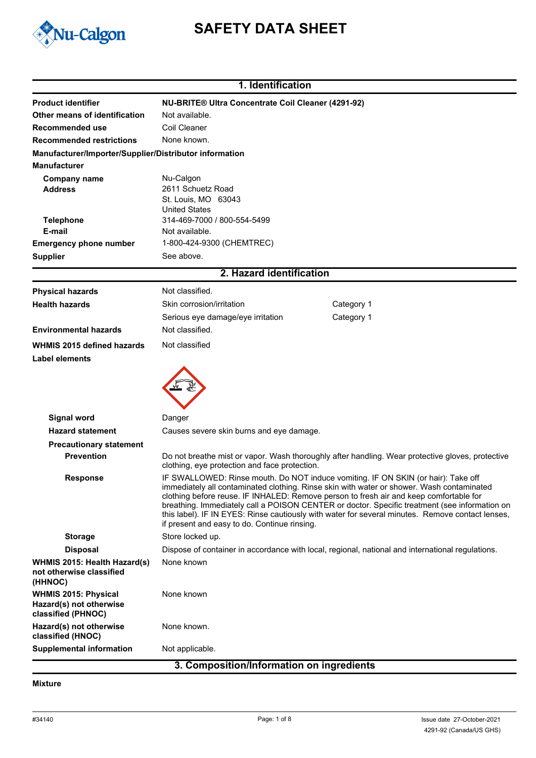

# **SAFETY DATA SHEET**

|                                                                              | 1. Identification                                                                                                                                                                                                                                                                                                                                                                                                                                                                                                             |                                                                                                  |  |
|------------------------------------------------------------------------------|-------------------------------------------------------------------------------------------------------------------------------------------------------------------------------------------------------------------------------------------------------------------------------------------------------------------------------------------------------------------------------------------------------------------------------------------------------------------------------------------------------------------------------|--------------------------------------------------------------------------------------------------|--|
| <b>Product identifier</b>                                                    | <b>NU-BRITE® Ultra Concentrate Coil Cleaner (4291-92)</b>                                                                                                                                                                                                                                                                                                                                                                                                                                                                     |                                                                                                  |  |
| Other means of identification                                                | Not available.                                                                                                                                                                                                                                                                                                                                                                                                                                                                                                                |                                                                                                  |  |
| Recommended use                                                              | Coil Cleaner                                                                                                                                                                                                                                                                                                                                                                                                                                                                                                                  |                                                                                                  |  |
| <b>Recommended restrictions</b>                                              | None known.                                                                                                                                                                                                                                                                                                                                                                                                                                                                                                                   |                                                                                                  |  |
| Manufacturer/Importer/Supplier/Distributor information                       |                                                                                                                                                                                                                                                                                                                                                                                                                                                                                                                               |                                                                                                  |  |
| <b>Manufacturer</b>                                                          |                                                                                                                                                                                                                                                                                                                                                                                                                                                                                                                               |                                                                                                  |  |
| <b>Company name</b>                                                          | Nu-Calgon                                                                                                                                                                                                                                                                                                                                                                                                                                                                                                                     |                                                                                                  |  |
| <b>Address</b>                                                               | 2611 Schuetz Road                                                                                                                                                                                                                                                                                                                                                                                                                                                                                                             |                                                                                                  |  |
|                                                                              | St. Louis, MO 63043<br><b>United States</b>                                                                                                                                                                                                                                                                                                                                                                                                                                                                                   |                                                                                                  |  |
| <b>Telephone</b>                                                             | 314-469-7000 / 800-554-5499                                                                                                                                                                                                                                                                                                                                                                                                                                                                                                   |                                                                                                  |  |
| E-mail                                                                       | Not available.                                                                                                                                                                                                                                                                                                                                                                                                                                                                                                                |                                                                                                  |  |
| <b>Emergency phone number</b>                                                | 1-800-424-9300 (CHEMTREC)                                                                                                                                                                                                                                                                                                                                                                                                                                                                                                     |                                                                                                  |  |
| <b>Supplier</b>                                                              | See above.                                                                                                                                                                                                                                                                                                                                                                                                                                                                                                                    |                                                                                                  |  |
|                                                                              | 2. Hazard identification                                                                                                                                                                                                                                                                                                                                                                                                                                                                                                      |                                                                                                  |  |
| <b>Physical hazards</b>                                                      | Not classified.                                                                                                                                                                                                                                                                                                                                                                                                                                                                                                               |                                                                                                  |  |
| <b>Health hazards</b>                                                        | Skin corrosion/irritation                                                                                                                                                                                                                                                                                                                                                                                                                                                                                                     | Category 1                                                                                       |  |
|                                                                              | Serious eye damage/eye irritation                                                                                                                                                                                                                                                                                                                                                                                                                                                                                             | Category 1                                                                                       |  |
| <b>Environmental hazards</b>                                                 | Not classified.                                                                                                                                                                                                                                                                                                                                                                                                                                                                                                               |                                                                                                  |  |
| WHMIS 2015 defined hazards                                                   | Not classified                                                                                                                                                                                                                                                                                                                                                                                                                                                                                                                |                                                                                                  |  |
| Label elements                                                               |                                                                                                                                                                                                                                                                                                                                                                                                                                                                                                                               |                                                                                                  |  |
| <b>Signal word</b>                                                           | Danger                                                                                                                                                                                                                                                                                                                                                                                                                                                                                                                        |                                                                                                  |  |
| <b>Hazard statement</b>                                                      | Causes severe skin burns and eye damage.                                                                                                                                                                                                                                                                                                                                                                                                                                                                                      |                                                                                                  |  |
|                                                                              |                                                                                                                                                                                                                                                                                                                                                                                                                                                                                                                               |                                                                                                  |  |
| <b>Precautionary statement</b><br><b>Prevention</b>                          |                                                                                                                                                                                                                                                                                                                                                                                                                                                                                                                               | Do not breathe mist or vapor. Wash thoroughly after handling. Wear protective gloves, protective |  |
|                                                                              | clothing, eye protection and face protection.                                                                                                                                                                                                                                                                                                                                                                                                                                                                                 |                                                                                                  |  |
| <b>Response</b>                                                              | IF SWALLOWED: Rinse mouth. Do NOT induce vomiting. IF ON SKIN (or hair): Take off<br>immediately all contaminated clothing. Rinse skin with water or shower. Wash contaminated<br>clothing before reuse. IF INHALED: Remove person to fresh air and keep comfortable for<br>breathing. Immediately call a POISON CENTER or doctor. Specific treatment (see information on<br>this label). IF IN EYES: Rinse cautiously with water for several minutes. Remove contact lenses,<br>if present and easy to do. Continue rinsing. |                                                                                                  |  |
| <b>Storage</b>                                                               | Store locked up.                                                                                                                                                                                                                                                                                                                                                                                                                                                                                                              |                                                                                                  |  |
| <b>Disposal</b>                                                              |                                                                                                                                                                                                                                                                                                                                                                                                                                                                                                                               | Dispose of container in accordance with local, regional, national and international regulations. |  |
| WHMIS 2015: Health Hazard(s)<br>not otherwise classified<br>(HHNOC)          | None known                                                                                                                                                                                                                                                                                                                                                                                                                                                                                                                    |                                                                                                  |  |
| <b>WHMIS 2015: Physical</b><br>Hazard(s) not otherwise<br>classified (PHNOC) | None known                                                                                                                                                                                                                                                                                                                                                                                                                                                                                                                    |                                                                                                  |  |
| Hazard(s) not otherwise<br>classified (HNOC)                                 | None known.                                                                                                                                                                                                                                                                                                                                                                                                                                                                                                                   |                                                                                                  |  |
| <b>Supplemental information</b>                                              | Not applicable.                                                                                                                                                                                                                                                                                                                                                                                                                                                                                                               |                                                                                                  |  |

#### **3. Composition/Information on ingredients**

#### **Mixture**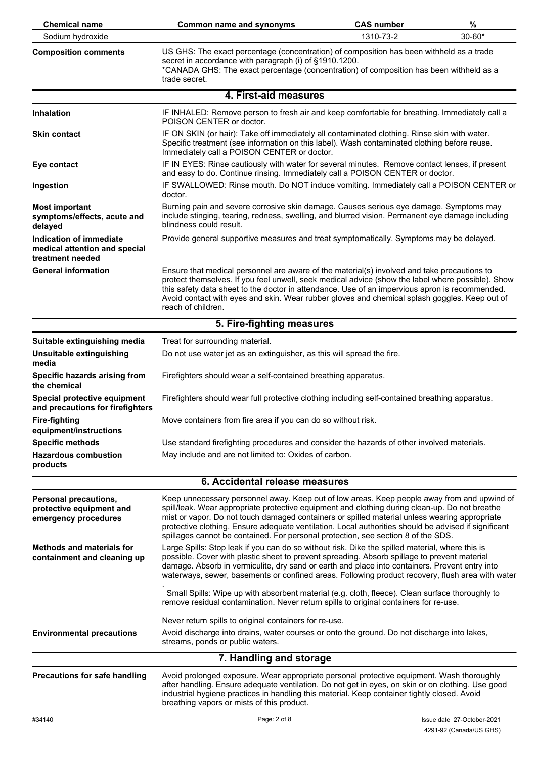| <b>Chemical name</b>                                                             | Common name and synonyms                                                                                                                                                                                                                                                                                                                                                                                                                                                                    | <b>CAS number</b> | %          |
|----------------------------------------------------------------------------------|---------------------------------------------------------------------------------------------------------------------------------------------------------------------------------------------------------------------------------------------------------------------------------------------------------------------------------------------------------------------------------------------------------------------------------------------------------------------------------------------|-------------------|------------|
| Sodium hydroxide                                                                 | 1310-73-2                                                                                                                                                                                                                                                                                                                                                                                                                                                                                   |                   | $30 - 60*$ |
| <b>Composition comments</b>                                                      | US GHS: The exact percentage (concentration) of composition has been withheld as a trade<br>secret in accordance with paragraph (i) of §1910.1200.<br>*CANADA GHS: The exact percentage (concentration) of composition has been withheld as a<br>trade secret.                                                                                                                                                                                                                              |                   |            |
|                                                                                  | 4. First-aid measures                                                                                                                                                                                                                                                                                                                                                                                                                                                                       |                   |            |
| <b>Inhalation</b>                                                                | IF INHALED: Remove person to fresh air and keep comfortable for breathing. Immediately call a<br>POISON CENTER or doctor.                                                                                                                                                                                                                                                                                                                                                                   |                   |            |
| <b>Skin contact</b>                                                              | IF ON SKIN (or hair): Take off immediately all contaminated clothing. Rinse skin with water.<br>Specific treatment (see information on this label). Wash contaminated clothing before reuse.<br>Immediately call a POISON CENTER or doctor.                                                                                                                                                                                                                                                 |                   |            |
| Eye contact                                                                      | IF IN EYES: Rinse cautiously with water for several minutes. Remove contact lenses, if present<br>and easy to do. Continue rinsing. Immediately call a POISON CENTER or doctor.                                                                                                                                                                                                                                                                                                             |                   |            |
| Ingestion                                                                        | IF SWALLOWED: Rinse mouth. Do NOT induce vomiting. Immediately call a POISON CENTER or<br>doctor.                                                                                                                                                                                                                                                                                                                                                                                           |                   |            |
| <b>Most important</b><br>symptoms/effects, acute and<br>delayed                  | Burning pain and severe corrosive skin damage. Causes serious eye damage. Symptoms may<br>include stinging, tearing, redness, swelling, and blurred vision. Permanent eye damage including<br>blindness could result.                                                                                                                                                                                                                                                                       |                   |            |
| Indication of immediate<br>medical attention and special<br>treatment needed     | Provide general supportive measures and treat symptomatically. Symptoms may be delayed.                                                                                                                                                                                                                                                                                                                                                                                                     |                   |            |
| <b>General information</b>                                                       | Ensure that medical personnel are aware of the material(s) involved and take precautions to<br>protect themselves. If you feel unwell, seek medical advice (show the label where possible). Show<br>this safety data sheet to the doctor in attendance. Use of an impervious apron is recommended.<br>Avoid contact with eyes and skin. Wear rubber gloves and chemical splash goggles. Keep out of<br>reach of children.                                                                   |                   |            |
|                                                                                  | 5. Fire-fighting measures                                                                                                                                                                                                                                                                                                                                                                                                                                                                   |                   |            |
| Suitable extinguishing media                                                     | Treat for surrounding material.                                                                                                                                                                                                                                                                                                                                                                                                                                                             |                   |            |
| Unsuitable extinguishing<br>media                                                | Do not use water jet as an extinguisher, as this will spread the fire.                                                                                                                                                                                                                                                                                                                                                                                                                      |                   |            |
| Specific hazards arising from<br>the chemical                                    | Firefighters should wear a self-contained breathing apparatus.                                                                                                                                                                                                                                                                                                                                                                                                                              |                   |            |
| Special protective equipment<br>and precautions for firefighters                 | Firefighters should wear full protective clothing including self-contained breathing apparatus.                                                                                                                                                                                                                                                                                                                                                                                             |                   |            |
| Fire-fighting<br>equipment/instructions                                          | Move containers from fire area if you can do so without risk.                                                                                                                                                                                                                                                                                                                                                                                                                               |                   |            |
| <b>Specific methods</b>                                                          | Use standard firefighting procedures and consider the hazards of other involved materials.                                                                                                                                                                                                                                                                                                                                                                                                  |                   |            |
| <b>Hazardous combustion</b><br>products                                          | May include and are not limited to: Oxides of carbon.                                                                                                                                                                                                                                                                                                                                                                                                                                       |                   |            |
|                                                                                  | 6. Accidental release measures                                                                                                                                                                                                                                                                                                                                                                                                                                                              |                   |            |
| <b>Personal precautions,</b><br>protective equipment and<br>emergency procedures | Keep unnecessary personnel away. Keep out of low areas. Keep people away from and upwind of<br>spill/leak. Wear appropriate protective equipment and clothing during clean-up. Do not breathe<br>mist or vapor. Do not touch damaged containers or spilled material unless wearing appropriate<br>protective clothing. Ensure adequate ventilation. Local authorities should be advised if significant<br>spillages cannot be contained. For personal protection, see section 8 of the SDS. |                   |            |
| <b>Methods and materials for</b><br>containment and cleaning up                  | Large Spills: Stop leak if you can do so without risk. Dike the spilled material, where this is<br>possible. Cover with plastic sheet to prevent spreading. Absorb spillage to prevent material<br>damage. Absorb in vermiculite, dry sand or earth and place into containers. Prevent entry into<br>waterways, sewer, basements or confined areas. Following product recovery, flush area with water                                                                                       |                   |            |
|                                                                                  | Small Spills: Wipe up with absorbent material (e.g. cloth, fleece). Clean surface thoroughly to<br>remove residual contamination. Never return spills to original containers for re-use.                                                                                                                                                                                                                                                                                                    |                   |            |
| <b>Environmental precautions</b>                                                 | Never return spills to original containers for re-use.<br>Avoid discharge into drains, water courses or onto the ground. Do not discharge into lakes,<br>streams, ponds or public waters.                                                                                                                                                                                                                                                                                                   |                   |            |
|                                                                                  | 7. Handling and storage                                                                                                                                                                                                                                                                                                                                                                                                                                                                     |                   |            |
| <b>Precautions for safe handling</b>                                             | Avoid prolonged exposure. Wear appropriate personal protective equipment. Wash thoroughly<br>after handling. Ensure adequate ventilation. Do not get in eyes, on skin or on clothing. Use good<br>industrial hygiene practices in handling this material. Keep container tightly closed. Avoid<br>breathing vapors or mists of this product.                                                                                                                                                |                   |            |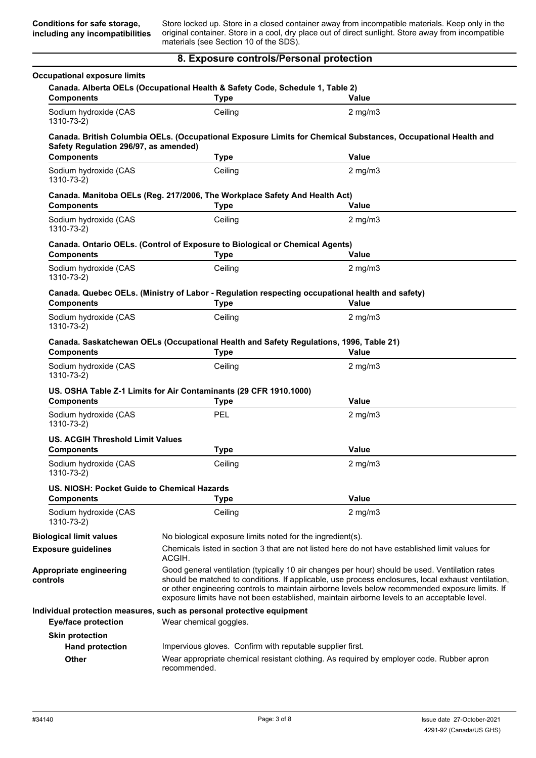Store locked up. Store in a closed container away from incompatible materials. Keep only in the original container. Store in a cool, dry place out of direct sunlight. Store away from incompatible materials (see Section 10 of the SDS).

#### **8. Exposure controls/Personal protection**

| <b>Components</b>                                            | Canada. Alberta OELs (Occupational Health & Safety Code, Schedule 1, Table 2)<br><b>Type</b>                   | Value                                                                                                                                                                                                                                                                                                                                                                                                  |  |
|--------------------------------------------------------------|----------------------------------------------------------------------------------------------------------------|--------------------------------------------------------------------------------------------------------------------------------------------------------------------------------------------------------------------------------------------------------------------------------------------------------------------------------------------------------------------------------------------------------|--|
| Sodium hydroxide (CAS<br>1310-73-2)                          | Ceiling                                                                                                        | $2$ mg/m $3$                                                                                                                                                                                                                                                                                                                                                                                           |  |
| Safety Regulation 296/97, as amended)                        |                                                                                                                | Canada. British Columbia OELs. (Occupational Exposure Limits for Chemical Substances, Occupational Health and                                                                                                                                                                                                                                                                                          |  |
| <b>Components</b>                                            | <b>Type</b>                                                                                                    | Value                                                                                                                                                                                                                                                                                                                                                                                                  |  |
| Sodium hydroxide (CAS<br>1310-73-2)                          | Ceiling                                                                                                        | $2$ mg/m $3$                                                                                                                                                                                                                                                                                                                                                                                           |  |
| <b>Components</b>                                            | Canada. Manitoba OELs (Reg. 217/2006, The Workplace Safety And Health Act)<br><b>Type</b>                      | Value                                                                                                                                                                                                                                                                                                                                                                                                  |  |
| Sodium hydroxide (CAS<br>1310-73-2)                          | Ceiling                                                                                                        | $2$ mg/m $3$                                                                                                                                                                                                                                                                                                                                                                                           |  |
| <b>Components</b>                                            | Canada. Ontario OELs. (Control of Exposure to Biological or Chemical Agents)<br><b>Type</b>                    | Value                                                                                                                                                                                                                                                                                                                                                                                                  |  |
| Sodium hydroxide (CAS<br>1310-73-2)                          | Ceiling                                                                                                        | $2$ mg/m $3$                                                                                                                                                                                                                                                                                                                                                                                           |  |
| <b>Components</b>                                            | Canada. Quebec OELs. (Ministry of Labor - Regulation respecting occupational health and safety)<br><b>Type</b> | Value                                                                                                                                                                                                                                                                                                                                                                                                  |  |
| Sodium hydroxide (CAS<br>1310-73-2)                          | Ceiling                                                                                                        | $2$ mg/m $3$                                                                                                                                                                                                                                                                                                                                                                                           |  |
| <b>Components</b>                                            | Canada. Saskatchewan OELs (Occupational Health and Safety Regulations, 1996, Table 21)<br><b>Type</b>          | Value                                                                                                                                                                                                                                                                                                                                                                                                  |  |
|                                                              |                                                                                                                |                                                                                                                                                                                                                                                                                                                                                                                                        |  |
| Sodium hydroxide (CAS                                        | Ceiling                                                                                                        | $2$ mg/m $3$                                                                                                                                                                                                                                                                                                                                                                                           |  |
| 1310-73-2)                                                   | US. OSHA Table Z-1 Limits for Air Contaminants (29 CFR 1910.1000)                                              | Value                                                                                                                                                                                                                                                                                                                                                                                                  |  |
| <b>Components</b><br>Sodium hydroxide (CAS<br>1310-73-2)     | <b>Type</b><br>PEL                                                                                             | $2$ mg/m $3$                                                                                                                                                                                                                                                                                                                                                                                           |  |
| <b>US. ACGIH Threshold Limit Values</b>                      |                                                                                                                |                                                                                                                                                                                                                                                                                                                                                                                                        |  |
| <b>Components</b>                                            | <b>Type</b>                                                                                                    | <b>Value</b>                                                                                                                                                                                                                                                                                                                                                                                           |  |
| Sodium hydroxide (CAS<br>1310-73-2)                          | Ceiling                                                                                                        | $2$ mg/m $3$                                                                                                                                                                                                                                                                                                                                                                                           |  |
| US. NIOSH: Pocket Guide to Chemical Hazards                  |                                                                                                                |                                                                                                                                                                                                                                                                                                                                                                                                        |  |
| <b>Components</b>                                            | <b>Type</b>                                                                                                    | <b>Value</b>                                                                                                                                                                                                                                                                                                                                                                                           |  |
| Sodium hydroxide (CAS<br>1310-73-2)                          | Ceiling                                                                                                        | $2$ mg/m $3$                                                                                                                                                                                                                                                                                                                                                                                           |  |
|                                                              | No biological exposure limits noted for the ingredient(s).                                                     |                                                                                                                                                                                                                                                                                                                                                                                                        |  |
| <b>Biological limit values</b><br><b>Exposure guidelines</b> | ACGIH.                                                                                                         | Chemicals listed in section 3 that are not listed here do not have established limit values for                                                                                                                                                                                                                                                                                                        |  |
|                                                              |                                                                                                                | Good general ventilation (typically 10 air changes per hour) should be used. Ventilation rates<br>should be matched to conditions. If applicable, use process enclosures, local exhaust ventilation,<br>or other engineering controls to maintain airborne levels below recommended exposure limits. If<br>exposure limits have not been established, maintain airborne levels to an acceptable level. |  |
| Appropriate engineering<br>controls                          | Individual protection measures, such as personal protective equipment                                          |                                                                                                                                                                                                                                                                                                                                                                                                        |  |
| <b>Eye/face protection</b>                                   | Wear chemical goggles.                                                                                         |                                                                                                                                                                                                                                                                                                                                                                                                        |  |
| <b>Skin protection</b>                                       |                                                                                                                |                                                                                                                                                                                                                                                                                                                                                                                                        |  |
| <b>Hand protection</b>                                       | Impervious gloves. Confirm with reputable supplier first.                                                      |                                                                                                                                                                                                                                                                                                                                                                                                        |  |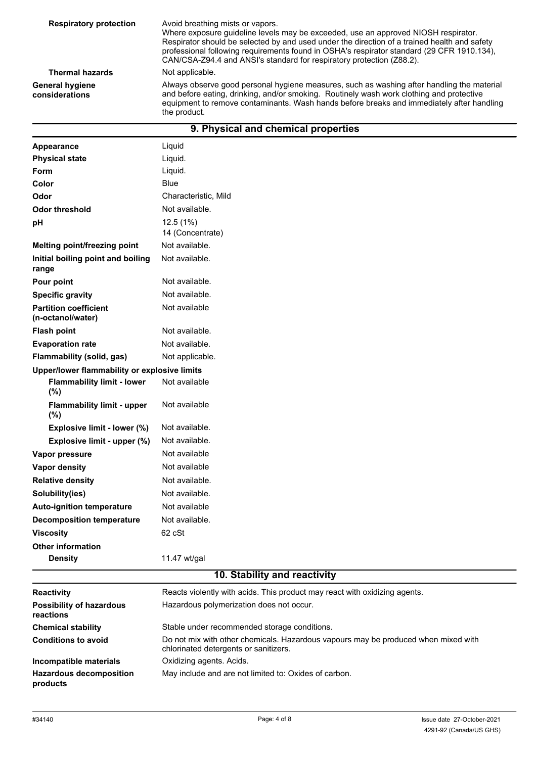| <b>Respiratory protection</b>            | Avoid breathing mists or vapors.<br>Where exposure guideline levels may be exceeded, use an approved NIOSH respirator.<br>Respirator should be selected by and used under the direction of a trained health and safety<br>professional following requirements found in OSHA's respirator standard (29 CFR 1910.134),<br>CAN/CSA-Z94.4 and ANSI's standard for respiratory protection (Z88.2). |
|------------------------------------------|-----------------------------------------------------------------------------------------------------------------------------------------------------------------------------------------------------------------------------------------------------------------------------------------------------------------------------------------------------------------------------------------------|
| <b>Thermal hazards</b>                   | Not applicable.                                                                                                                                                                                                                                                                                                                                                                               |
| <b>General hygiene</b><br>considerations | Always observe good personal hygiene measures, such as washing after handling the material<br>and before eating, drinking, and/or smoking. Routinely wash work clothing and protective<br>equipment to remove contaminants. Wash hands before breaks and immediately after handling<br>the product.                                                                                           |
|                                          | 9. Physical and chemical properties                                                                                                                                                                                                                                                                                                                                                           |

| Appearance                                        | Liquid                       |
|---------------------------------------------------|------------------------------|
| <b>Physical state</b>                             | Liquid.                      |
| Form                                              | Liquid.                      |
| Color                                             | <b>Blue</b>                  |
| Odor                                              | Characteristic, Mild         |
| <b>Odor threshold</b>                             | Not available.               |
| pH                                                | 12.5(1%)<br>14 (Concentrate) |
| Melting point/freezing point                      | Not available.               |
| Initial boiling point and boiling<br>range        | Not available.               |
| Pour point                                        | Not available.               |
| <b>Specific gravity</b>                           | Not available.               |
| <b>Partition coefficient</b><br>(n-octanol/water) | Not available                |
| <b>Flash point</b>                                | Not available.               |
| <b>Evaporation rate</b>                           | Not available.               |
| Flammability (solid, gas)                         | Not applicable.              |
| Upper/lower flammability or explosive limits      |                              |
| <b>Flammability limit - lower</b><br>(%)          | Not available                |
| <b>Flammability limit - upper</b><br>(%)          | Not available                |
| Explosive limit - lower (%)                       | Not available.               |
| Explosive limit - upper (%)                       | Not available.               |
| Vapor pressure                                    | Not available                |
| <b>Vapor density</b>                              | Not available                |
| <b>Relative density</b>                           | Not available.               |
| Solubility(ies)                                   | Not available.               |
| <b>Auto-ignition temperature</b>                  | Not available                |
| <b>Decomposition temperature</b>                  | Not available.               |
| <b>Viscosity</b>                                  | 62 cSt                       |
| <b>Other information</b>                          |                              |
| <b>Density</b>                                    | 11.47 wt/gal                 |
|                                                   | 10. Stability and reactivity |

| <b>Reactivity</b>                            | Reacts violently with acids. This product may react with oxidizing agents.                                                  |
|----------------------------------------------|-----------------------------------------------------------------------------------------------------------------------------|
| <b>Possibility of hazardous</b><br>reactions | Hazardous polymerization does not occur.                                                                                    |
| <b>Chemical stability</b>                    | Stable under recommended storage conditions.                                                                                |
| <b>Conditions to avoid</b>                   | Do not mix with other chemicals. Hazardous vapours may be produced when mixed with<br>chlorinated detergents or sanitizers. |
| Incompatible materials                       | Oxidizing agents. Acids.                                                                                                    |
| <b>Hazardous decomposition</b><br>products   | May include and are not limited to: Oxides of carbon.                                                                       |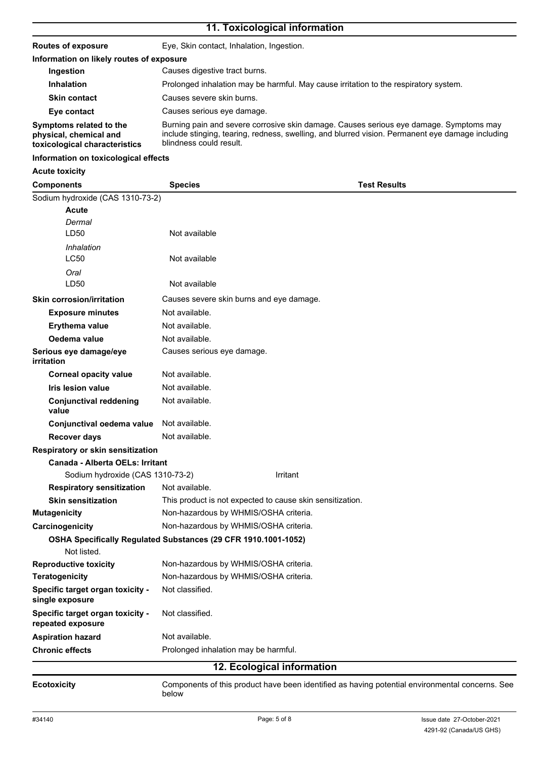# **11. Toxicological information**

| <b>Routes of exposure</b>                                                          | Eye, Skin contact, Inhalation, Ingestion.                                                                                                                                                                             |
|------------------------------------------------------------------------------------|-----------------------------------------------------------------------------------------------------------------------------------------------------------------------------------------------------------------------|
| Information on likely routes of exposure                                           |                                                                                                                                                                                                                       |
| Ingestion                                                                          | Causes digestive tract burns.                                                                                                                                                                                         |
| <b>Inhalation</b>                                                                  | Prolonged inhalation may be harmful. May cause irritation to the respiratory system.                                                                                                                                  |
| <b>Skin contact</b>                                                                | Causes severe skin burns.                                                                                                                                                                                             |
| Eye contact                                                                        | Causes serious eye damage.                                                                                                                                                                                            |
| Symptoms related to the<br>physical, chemical and<br>toxicological characteristics | Burning pain and severe corrosive skin damage. Causes serious eye damage. Symptoms may<br>include stinging, tearing, redness, swelling, and blurred vision. Permanent eye damage including<br>blindness could result. |

#### **Information on toxicological effects**

# **Acute toxicity**

| <b>Components</b>                                                             | <b>Species</b>             | <b>Test Results</b>                                                                             |
|-------------------------------------------------------------------------------|----------------------------|-------------------------------------------------------------------------------------------------|
| Sodium hydroxide (CAS 1310-73-2)                                              |                            |                                                                                                 |
| <b>Acute</b>                                                                  |                            |                                                                                                 |
| Dermal                                                                        |                            |                                                                                                 |
| LD50                                                                          | Not available              |                                                                                                 |
| Inhalation                                                                    |                            |                                                                                                 |
| <b>LC50</b>                                                                   | Not available              |                                                                                                 |
| Oral                                                                          |                            |                                                                                                 |
| LD50                                                                          | Not available              |                                                                                                 |
| <b>Skin corrosion/irritation</b>                                              |                            | Causes severe skin burns and eye damage.                                                        |
| <b>Exposure minutes</b>                                                       | Not available.             |                                                                                                 |
| <b>Erythema value</b>                                                         | Not available.             |                                                                                                 |
| Oedema value                                                                  | Not available.             |                                                                                                 |
| Serious eye damage/eye<br><i>irritation</i>                                   | Causes serious eye damage. |                                                                                                 |
| <b>Corneal opacity value</b>                                                  | Not available.             |                                                                                                 |
| <b>Iris lesion value</b>                                                      | Not available.             |                                                                                                 |
| <b>Conjunctival reddening</b><br>value                                        | Not available.             |                                                                                                 |
| Conjunctival oedema value                                                     | Not available.             |                                                                                                 |
| <b>Recover days</b>                                                           | Not available.             |                                                                                                 |
| Respiratory or skin sensitization                                             |                            |                                                                                                 |
| Canada - Alberta OELs: Irritant                                               |                            |                                                                                                 |
| Sodium hydroxide (CAS 1310-73-2)                                              |                            | Irritant                                                                                        |
| <b>Respiratory sensitization</b>                                              | Not available.             |                                                                                                 |
| <b>Skin sensitization</b>                                                     |                            | This product is not expected to cause skin sensitization.                                       |
| <b>Mutagenicity</b>                                                           |                            | Non-hazardous by WHMIS/OSHA criteria.                                                           |
| Carcinogenicity                                                               |                            | Non-hazardous by WHMIS/OSHA criteria.                                                           |
| OSHA Specifically Regulated Substances (29 CFR 1910.1001-1052)<br>Not listed. |                            |                                                                                                 |
| <b>Reproductive toxicity</b>                                                  |                            | Non-hazardous by WHMIS/OSHA criteria.                                                           |
| <b>Teratogenicity</b>                                                         |                            | Non-hazardous by WHMIS/OSHA criteria.                                                           |
| Specific target organ toxicity -<br>single exposure                           | Not classified.            |                                                                                                 |
| Specific target organ toxicity -<br>repeated exposure                         | Not classified.            |                                                                                                 |
| <b>Aspiration hazard</b>                                                      | Not available.             |                                                                                                 |
| <b>Chronic effects</b>                                                        |                            | Prolonged inhalation may be harmful.                                                            |
|                                                                               |                            | 12. Ecological information                                                                      |
| <b>Ecotoxicity</b>                                                            | below                      | Components of this product have been identified as having potential environmental concerns. See |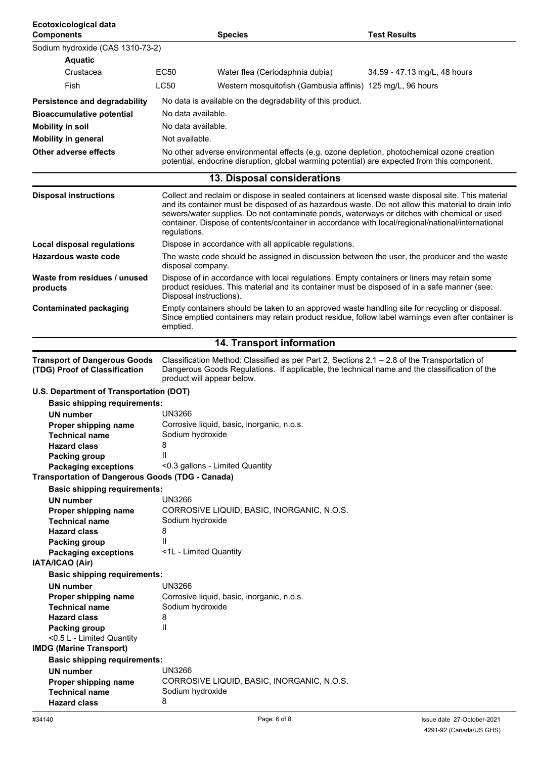| Ecotoxicological data<br><b>Components</b>                           |                                 | <b>Species</b>                                                                                                                                                                                   | <b>Test Results</b>                                                                                                                                                                                      |
|----------------------------------------------------------------------|---------------------------------|--------------------------------------------------------------------------------------------------------------------------------------------------------------------------------------------------|----------------------------------------------------------------------------------------------------------------------------------------------------------------------------------------------------------|
| Sodium hydroxide (CAS 1310-73-2)                                     |                                 |                                                                                                                                                                                                  |                                                                                                                                                                                                          |
| <b>Aquatic</b>                                                       |                                 |                                                                                                                                                                                                  |                                                                                                                                                                                                          |
| Crustacea                                                            | <b>EC50</b>                     | Water flea (Ceriodaphnia dubia)                                                                                                                                                                  | 34.59 - 47.13 mg/L, 48 hours                                                                                                                                                                             |
| Fish                                                                 | <b>LC50</b>                     | Western mosquitofish (Gambusia affinis) 125 mg/L, 96 hours                                                                                                                                       |                                                                                                                                                                                                          |
| Persistence and degradability                                        |                                 | No data is available on the degradability of this product.                                                                                                                                       |                                                                                                                                                                                                          |
| <b>Bioaccumulative potential</b>                                     | No data available.              |                                                                                                                                                                                                  |                                                                                                                                                                                                          |
| <b>Mobility in soil</b>                                              | No data available.              |                                                                                                                                                                                                  |                                                                                                                                                                                                          |
| <b>Mobility in general</b>                                           | Not available.                  |                                                                                                                                                                                                  |                                                                                                                                                                                                          |
| <b>Other adverse effects</b>                                         |                                 | No other adverse environmental effects (e.g. ozone depletion, photochemical ozone creation                                                                                                       |                                                                                                                                                                                                          |
|                                                                      |                                 | potential, endocrine disruption, global warming potential) are expected from this component.                                                                                                     |                                                                                                                                                                                                          |
|                                                                      |                                 | 13. Disposal considerations                                                                                                                                                                      |                                                                                                                                                                                                          |
| <b>Disposal instructions</b>                                         | regulations.                    | sewers/water supplies. Do not contaminate ponds, waterways or ditches with chemical or used<br>container. Dispose of contents/container in accordance with local/regional/national/international | Collect and reclaim or dispose in sealed containers at licensed waste disposal site. This material<br>and its container must be disposed of as hazardous waste. Do not allow this material to drain into |
| <b>Local disposal regulations</b>                                    |                                 | Dispose in accordance with all applicable regulations.                                                                                                                                           |                                                                                                                                                                                                          |
| Hazardous waste code                                                 | disposal company.               |                                                                                                                                                                                                  | The waste code should be assigned in discussion between the user, the producer and the waste                                                                                                             |
| Waste from residues / unused<br>products                             | Disposal instructions).         | Dispose of in accordance with local regulations. Empty containers or liners may retain some<br>product residues. This material and its container must be disposed of in a safe manner (see:      |                                                                                                                                                                                                          |
| <b>Contaminated packaging</b>                                        | emptied.                        | Empty containers should be taken to an approved waste handling site for recycling or disposal.                                                                                                   | Since emptied containers may retain product residue, follow label warnings even after container is                                                                                                       |
|                                                                      |                                 | <b>14. Transport information</b>                                                                                                                                                                 |                                                                                                                                                                                                          |
| <b>Transport of Dangerous Goods</b><br>(TDG) Proof of Classification | product will appear below.      | Classification Method: Classified as per Part 2, Sections 2.1 - 2.8 of the Transportation of<br>Dangerous Goods Regulations. If applicable, the technical name and the classification of the     |                                                                                                                                                                                                          |
| U.S. Department of Transportation (DOT)                              |                                 |                                                                                                                                                                                                  |                                                                                                                                                                                                          |
| <b>Basic shipping requirements:</b>                                  |                                 |                                                                                                                                                                                                  |                                                                                                                                                                                                          |
| UN number                                                            | <b>UN3266</b>                   |                                                                                                                                                                                                  |                                                                                                                                                                                                          |
| Proper shipping name                                                 |                                 | Corrosive liquid, basic, inorganic, n.o.s.                                                                                                                                                       |                                                                                                                                                                                                          |
| <b>Technical name</b>                                                | Sodium hydroxide                |                                                                                                                                                                                                  |                                                                                                                                                                                                          |
| <b>Hazard class</b>                                                  | 8<br>Ш                          |                                                                                                                                                                                                  |                                                                                                                                                                                                          |
| Packing group<br><b>Packaging exceptions</b>                         | <0.3 gallons - Limited Quantity |                                                                                                                                                                                                  |                                                                                                                                                                                                          |
| <b>Transportation of Dangerous Goods (TDG - Canada)</b>              |                                 |                                                                                                                                                                                                  |                                                                                                                                                                                                          |
| <b>Basic shipping requirements:</b>                                  |                                 |                                                                                                                                                                                                  |                                                                                                                                                                                                          |
| UN number                                                            | <b>UN3266</b>                   |                                                                                                                                                                                                  |                                                                                                                                                                                                          |
| Proper shipping name                                                 |                                 | CORROSIVE LIQUID, BASIC, INORGANIC, N.O.S.                                                                                                                                                       |                                                                                                                                                                                                          |
| <b>Technical name</b>                                                | Sodium hydroxide                |                                                                                                                                                                                                  |                                                                                                                                                                                                          |
| <b>Hazard class</b>                                                  | 8<br>Ш                          |                                                                                                                                                                                                  |                                                                                                                                                                                                          |
| Packing group<br><b>Packaging exceptions</b>                         | <1L - Limited Quantity          |                                                                                                                                                                                                  |                                                                                                                                                                                                          |
| IATA/ICAO (Air)                                                      |                                 |                                                                                                                                                                                                  |                                                                                                                                                                                                          |
| <b>Basic shipping requirements:</b>                                  |                                 |                                                                                                                                                                                                  |                                                                                                                                                                                                          |
| UN number                                                            | <b>UN3266</b>                   |                                                                                                                                                                                                  |                                                                                                                                                                                                          |
| Proper shipping name                                                 |                                 | Corrosive liquid, basic, inorganic, n.o.s.                                                                                                                                                       |                                                                                                                                                                                                          |
| <b>Technical name</b>                                                | Sodium hydroxide                |                                                                                                                                                                                                  |                                                                                                                                                                                                          |
| <b>Hazard class</b><br>Packing group                                 | 8<br>Ш                          |                                                                                                                                                                                                  |                                                                                                                                                                                                          |
| <0.5 L - Limited Quantity<br><b>IMDG (Marine Transport)</b>          |                                 |                                                                                                                                                                                                  |                                                                                                                                                                                                          |
| <b>Basic shipping requirements:</b>                                  |                                 |                                                                                                                                                                                                  |                                                                                                                                                                                                          |
| <b>UN number</b>                                                     | <b>UN3266</b>                   |                                                                                                                                                                                                  |                                                                                                                                                                                                          |
| Proper shipping name                                                 |                                 | CORROSIVE LIQUID, BASIC, INORGANIC, N.O.S.                                                                                                                                                       |                                                                                                                                                                                                          |
| <b>Technical name</b><br><b>Hazard class</b>                         | Sodium hydroxide<br>8           |                                                                                                                                                                                                  |                                                                                                                                                                                                          |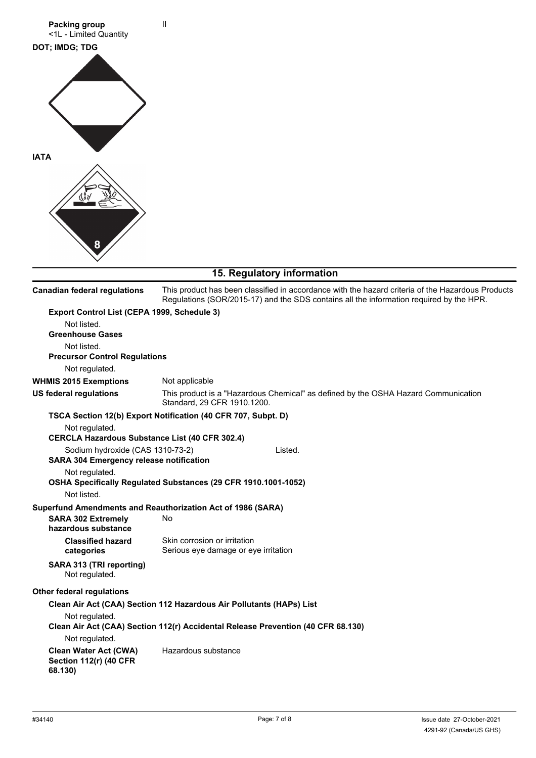

### **15. Regulatory information**

| <b>Canadian federal regulations</b>                                                | This product has been classified in accordance with the hazard criteria of the Hazardous Products<br>Regulations (SOR/2015-17) and the SDS contains all the information required by the HPR. |
|------------------------------------------------------------------------------------|----------------------------------------------------------------------------------------------------------------------------------------------------------------------------------------------|
| Export Control List (CEPA 1999, Schedule 3)                                        |                                                                                                                                                                                              |
| Not listed.                                                                        |                                                                                                                                                                                              |
| <b>Greenhouse Gases</b>                                                            |                                                                                                                                                                                              |
| Not listed.                                                                        |                                                                                                                                                                                              |
| <b>Precursor Control Regulations</b>                                               |                                                                                                                                                                                              |
| Not regulated.                                                                     |                                                                                                                                                                                              |
| <b>WHMIS 2015 Exemptions</b>                                                       | Not applicable                                                                                                                                                                               |
| <b>US federal regulations</b>                                                      | This product is a "Hazardous Chemical" as defined by the OSHA Hazard Communication<br>Standard, 29 CFR 1910.1200.                                                                            |
|                                                                                    | TSCA Section 12(b) Export Notification (40 CFR 707, Subpt. D)                                                                                                                                |
| Not regulated.                                                                     |                                                                                                                                                                                              |
| <b>CERCLA Hazardous Substance List (40 CFR 302.4)</b>                              |                                                                                                                                                                                              |
| Sodium hydroxide (CAS 1310-73-2)<br><b>SARA 304 Emergency release notification</b> | Listed.                                                                                                                                                                                      |
| Not regulated.                                                                     |                                                                                                                                                                                              |
|                                                                                    | OSHA Specifically Regulated Substances (29 CFR 1910.1001-1052)                                                                                                                               |
| Not listed.                                                                        |                                                                                                                                                                                              |
|                                                                                    | Superfund Amendments and Reauthorization Act of 1986 (SARA)                                                                                                                                  |
| <b>SARA 302 Extremely</b><br>hazardous substance                                   | No                                                                                                                                                                                           |
| <b>Classified hazard</b>                                                           | Skin corrosion or irritation                                                                                                                                                                 |
| categories                                                                         | Serious eye damage or eye irritation                                                                                                                                                         |
| SARA 313 (TRI reporting)<br>Not regulated.                                         |                                                                                                                                                                                              |
| <b>Other federal regulations</b>                                                   |                                                                                                                                                                                              |
|                                                                                    | Clean Air Act (CAA) Section 112 Hazardous Air Pollutants (HAPs) List                                                                                                                         |
| Not regulated.                                                                     | Clean Air Act (CAA) Section 112(r) Accidental Release Prevention (40 CFR 68.130)                                                                                                             |
| Not regulated.                                                                     |                                                                                                                                                                                              |
|                                                                                    | Hazardous substance                                                                                                                                                                          |
| <b>Clean Water Act (CWA)</b><br><b>Section 112(r) (40 CFR</b><br>68.130)           |                                                                                                                                                                                              |